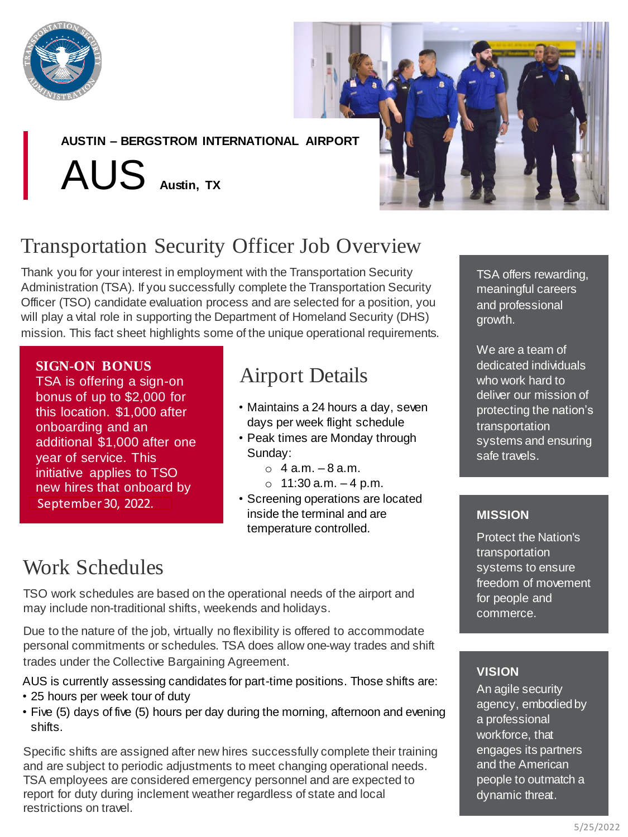

**AUSTIN – BERGSTROM INTERNATIONAL AIRPORT**

AUS **Austin, TX**



# Transportation Security Officer Job Overview

Thank you for your interest in employment with the Transportation Security Administration (TSA). If you successfully complete the Transportation Security Officer (TSO) candidate evaluation process and are selected for a position, you will play a vital role in supporting the Department of Homeland Security (DHS) mission. This fact sheet highlights some of the unique operational requirements.

### **SIGN-ON BONUS**

TSA is offering a sign-on bonus of up to \$2,000 for this location. \$1,000 after onboarding and an additional \$1,000 after one year of service. This initiative applies to TSO new hires that onboard by September 30, 2022.

## Airport Details

- Maintains a 24 hours a day, seven days per week flight schedule
- Peak times are Monday through Sunday:
	- $\circ$  4 a.m.  $-8$  a.m.
	- $\circ$  11:30 a.m.  $-4$  p.m.
- Screening operations are located inside the terminal and are temperature controlled.

## Work Schedules

TSO work schedules are based on the operational needs of the airport and may include non-traditional shifts, weekends and holidays.

Due to the nature of the job, virtually no flexibility is offered to accommodate personal commitments or schedules. TSA does allow one-way trades and shift trades under the Collective Bargaining Agreement.

AUS is currently assessing candidates for part-time positions. Those shifts are: • 25 hours per week tour of duty

• Five (5) days of five (5) hours per day during the morning, afternoon and evening shifts.

Specific shifts are assigned after new hires successfully complete their training and are subject to periodic adjustments to meet changing operational needs. TSA employees are considered emergency personnel and are expected to report for duty during inclement weather regardless of state and local restrictions on travel.

TSA offers rewarding, meaningful careers and professional growth.

We are a team of dedicated individuals who work hard to deliver our mission of protecting the nation's transportation systems and ensuring safe travels.

### **MISSION**

Protect the Nation's transportation systems to ensure freedom of movement for people and commerce.

### **VISION**

An agile security agency, embodied by a professional workforce, that engages its partners and the American people to outmatch a dynamic threat.